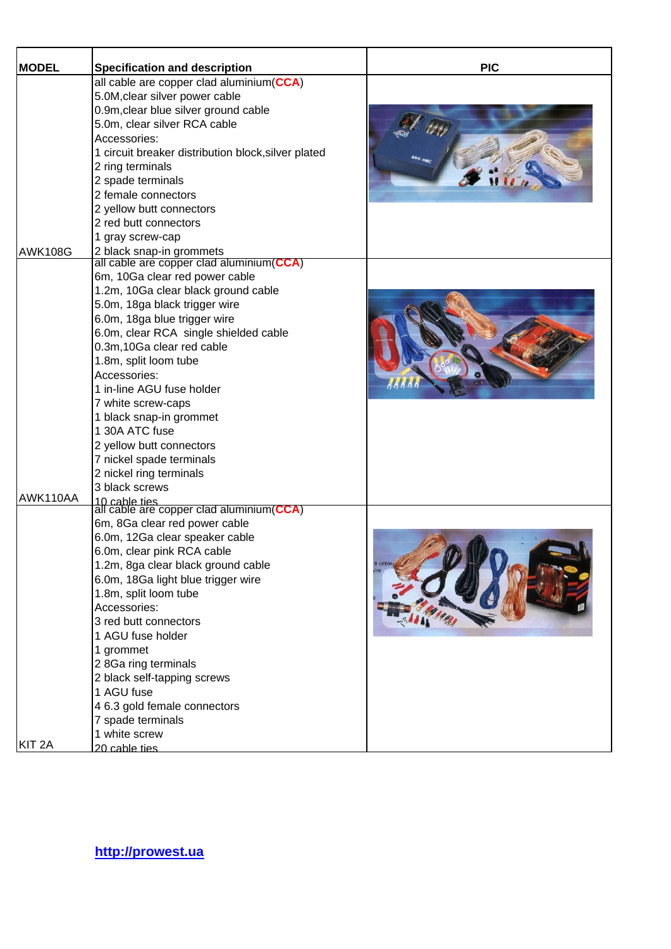| <b>MODEL</b>      | <b>Specification and description</b>                      | <b>PIC</b> |
|-------------------|-----------------------------------------------------------|------------|
|                   | all cable are copper clad aluminium(CCA)                  |            |
|                   | 5.0M, clear silver power cable                            |            |
|                   | 0.9m, clear blue silver ground cable                      |            |
|                   | 5.0m, clear silver RCA cable                              |            |
|                   | Accessories:                                              |            |
|                   | 1 circuit breaker distribution block, silver plated       |            |
|                   | 2 ring terminals                                          |            |
|                   | 2 spade terminals                                         |            |
|                   | 2 female connectors                                       |            |
|                   | 2 yellow butt connectors                                  |            |
|                   | 2 red butt connectors                                     |            |
|                   | 1 gray screw-cap                                          |            |
| <b>AWK108G</b>    | 2 black snap-in grommets                                  |            |
|                   | all cable are copper clad aluminium(CCA)                  |            |
|                   | 6m, 10Ga clear red power cable                            |            |
|                   | 1.2m, 10Ga clear black ground cable                       |            |
|                   | 5.0m, 18ga black trigger wire                             |            |
|                   | 6.0m, 18ga blue trigger wire                              |            |
|                   | 6.0m, clear RCA single shielded cable                     |            |
|                   | 0.3m,10Ga clear red cable                                 |            |
|                   | 1.8m, split loom tube                                     |            |
|                   | Accessories:                                              |            |
|                   | 1 in-line AGU fuse holder                                 |            |
|                   | 7 white screw-caps                                        |            |
|                   | 1 black snap-in grommet                                   |            |
|                   | 1 30A ATC fuse                                            |            |
|                   | 2 yellow butt connectors                                  |            |
|                   | 7 nickel spade terminals                                  |            |
|                   | 2 nickel ring terminals                                   |            |
|                   | 3 black screws                                            |            |
| AWK110AA          | 10 cable ties<br>all cable are copper clad aluminium(CCA) |            |
|                   | 6m, 8Ga clear red power cable                             |            |
|                   | 6.0m, 12Ga clear speaker cable                            |            |
|                   | 6.0m, clear pink RCA cable                                |            |
|                   | 1.2m, 8ga clear black ground cable                        |            |
|                   | 6.0m, 18Ga light blue trigger wire                        |            |
|                   | 1.8m, split loom tube                                     |            |
|                   | Accessories:                                              |            |
|                   | 3 red butt connectors                                     |            |
|                   | 1 AGU fuse holder                                         |            |
|                   | 1 grommet                                                 |            |
|                   | 2 8Ga ring terminals                                      |            |
|                   | 2 black self-tapping screws                               |            |
|                   | 1 AGU fuse                                                |            |
|                   | 4 6.3 gold female connectors                              |            |
|                   |                                                           |            |
|                   | 7 spade terminals<br>1 white screw                        |            |
| KIT <sub>2A</sub> | 20 cable ties                                             |            |
|                   |                                                           |            |

**http://prowest.ua**